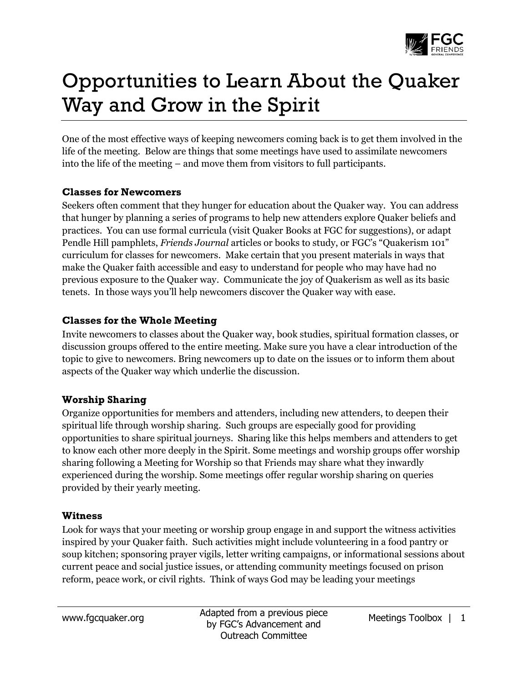

# Opportunities to Learn About the Quaker Way and Grow in the Spirit

One of the most effective ways of keeping newcomers coming back is to get them involved in the life of the meeting. Below are things that some meetings have used to assimilate newcomers into the life of the meeting – and move them from visitors to full participants.

### **Classes for Newcomers**

Seekers often comment that they hunger for education about the Quaker way. You can address that hunger by planning a series of programs to help new attenders explore Quaker beliefs and practices. You can use formal curricula (visit Quaker Books at FGC for suggestions), or adapt Pendle Hill pamphlets, *Friends Journal* articles or books to study, or FGC's "Quakerism 101" curriculum for classes for newcomers. Make certain that you present materials in ways that make the Quaker faith accessible and easy to understand for people who may have had no previous exposure to the Quaker way. Communicate the joy of Quakerism as well as its basic tenets. In those ways you'll help newcomers discover the Quaker way with ease.

## **Classes for the Whole Meeting**

Invite newcomers to classes about the Quaker way, book studies, spiritual formation classes, or discussion groups offered to the entire meeting. Make sure you have a clear introduction of the topic to give to newcomers. Bring newcomers up to date on the issues or to inform them about aspects of the Quaker way which underlie the discussion.

#### **Worship Sharing**

Organize opportunities for members and attenders, including new attenders, to deepen their spiritual life through worship sharing. Such groups are especially good for providing opportunities to share spiritual journeys. Sharing like this helps members and attenders to get to know each other more deeply in the Spirit. Some meetings and worship groups offer worship sharing following a Meeting for Worship so that Friends may share what they inwardly experienced during the worship. Some meetings offer regular worship sharing on queries provided by their yearly meeting.

#### **Witness**

Look for ways that your meeting or worship group engage in and support the witness activities inspired by your Quaker faith. Such activities might include volunteering in a food pantry or soup kitchen; sponsoring prayer vigils, letter writing campaigns, or informational sessions about current peace and social justice issues, or attending community meetings focused on prison reform, peace work, or civil rights. Think of ways God may be leading your meetings